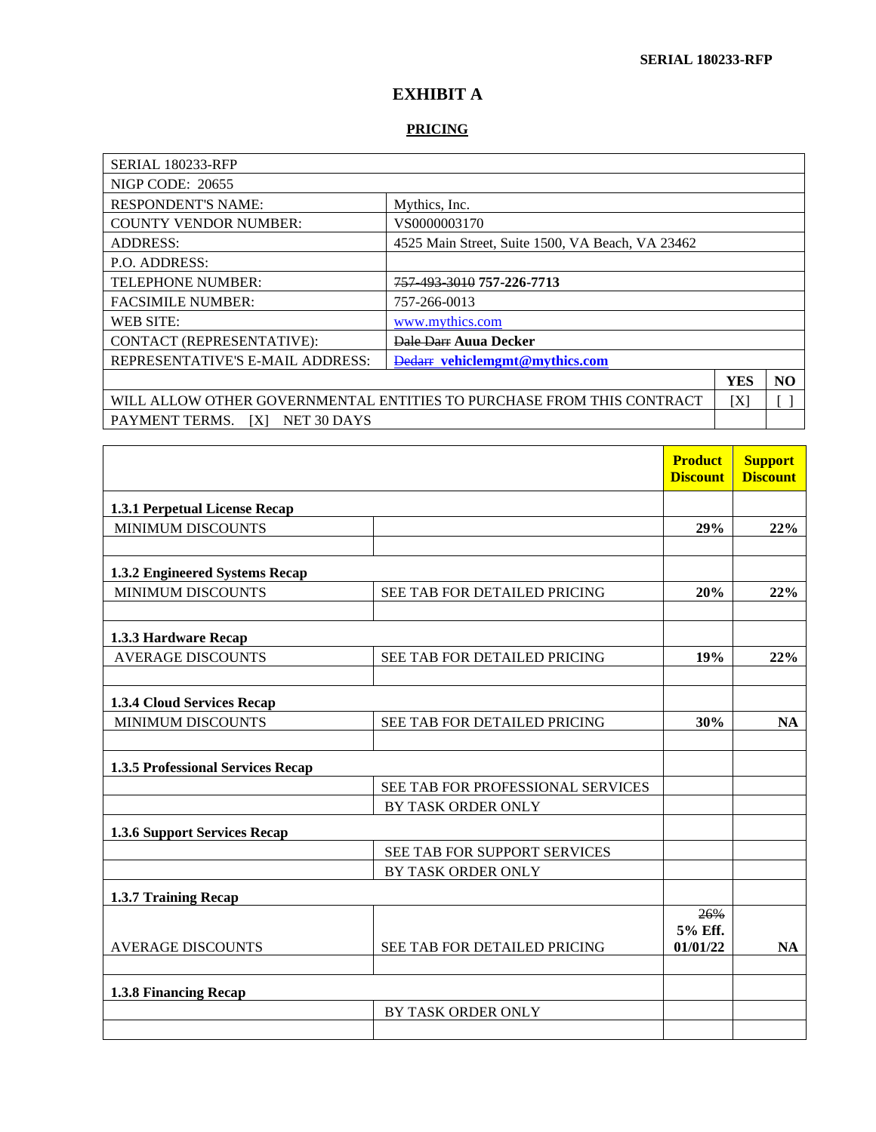## **EXHIBIT A**

## **PRICING**

| <b>SERIAL 180233-RFP</b>                                                     |                                                  |            |                |
|------------------------------------------------------------------------------|--------------------------------------------------|------------|----------------|
| <b>NIGP CODE: 20655</b>                                                      |                                                  |            |                |
| <b>RESPONDENT'S NAME:</b>                                                    | Mythics, Inc.                                    |            |                |
| <b>COUNTY VENDOR NUMBER:</b>                                                 | VS0000003170                                     |            |                |
| <b>ADDRESS:</b>                                                              | 4525 Main Street, Suite 1500, VA Beach, VA 23462 |            |                |
| P.O. ADDRESS:                                                                |                                                  |            |                |
| 757 493 3010 757 - 226 - 7713<br><b>TELEPHONE NUMBER:</b>                    |                                                  |            |                |
| <b>FACSIMILE NUMBER:</b><br>757-266-0013                                     |                                                  |            |                |
| <b>WEB SITE:</b><br>www.mythics.com                                          |                                                  |            |                |
| CONTACT (REPRESENTATIVE):<br><b>Dale Darr Auua Decker</b>                    |                                                  |            |                |
| REPRESENTATIVE'S E-MAIL ADDRESS:<br><b>Dedarr</b> vehiclememt@mvthics.com    |                                                  |            |                |
|                                                                              |                                                  | <b>YES</b> | N <sub>O</sub> |
| WILL ALLOW OTHER GOVERNMENTAL ENTITIES TO PURCHASE FROM THIS CONTRACT<br>ΙXΙ |                                                  |            |                |
| PAYMENT TERMS.<br><b>IXI</b><br>NET 30 DAYS                                  |                                                  |            |                |

|                                   |                                   | <b>Product</b><br><b>Discount</b> | <b>Support</b><br><b>Discount</b> |
|-----------------------------------|-----------------------------------|-----------------------------------|-----------------------------------|
| 1.3.1 Perpetual License Recap     |                                   |                                   |                                   |
| <b>MINIMUM DISCOUNTS</b>          |                                   | 29%                               | 22%                               |
|                                   |                                   |                                   |                                   |
| 1.3.2 Engineered Systems Recap    |                                   |                                   |                                   |
| <b>MINIMUM DISCOUNTS</b>          | SEE TAB FOR DETAILED PRICING      | 20%                               | 22%                               |
|                                   |                                   |                                   |                                   |
| 1.3.3 Hardware Recap              |                                   |                                   |                                   |
| <b>AVERAGE DISCOUNTS</b>          | SEE TAB FOR DETAILED PRICING      | 19%                               | 22%                               |
|                                   |                                   |                                   |                                   |
| 1.3.4 Cloud Services Recap        |                                   |                                   |                                   |
| <b>MINIMUM DISCOUNTS</b>          | SEE TAB FOR DETAILED PRICING      | 30%                               | <b>NA</b>                         |
|                                   |                                   |                                   |                                   |
| 1.3.5 Professional Services Recap |                                   |                                   |                                   |
|                                   | SEE TAB FOR PROFESSIONAL SERVICES |                                   |                                   |
|                                   | BY TASK ORDER ONLY                |                                   |                                   |
| 1.3.6 Support Services Recap      |                                   |                                   |                                   |
|                                   | SEE TAB FOR SUPPORT SERVICES      |                                   |                                   |
|                                   | BY TASK ORDER ONLY                |                                   |                                   |
| 1.3.7 Training Recap              |                                   |                                   |                                   |
|                                   |                                   | 26%                               |                                   |
| <b>AVERAGE DISCOUNTS</b>          | SEE TAB FOR DETAILED PRICING      | 5% Eff.<br>01/01/22               | NA                                |
|                                   |                                   |                                   |                                   |
| 1.3.8 Financing Recap             |                                   |                                   |                                   |
|                                   | BY TASK ORDER ONLY                |                                   |                                   |
|                                   |                                   |                                   |                                   |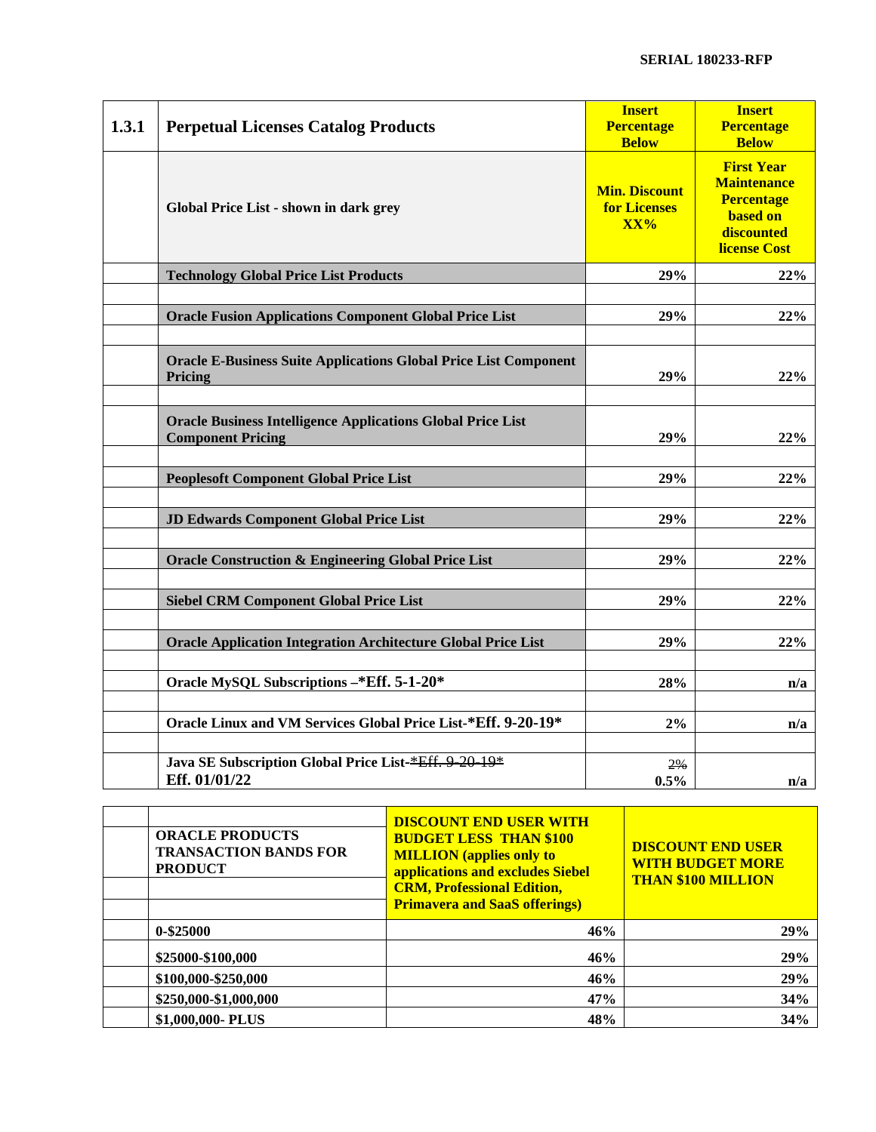| 1.3.1 | <b>Perpetual Licenses Catalog Products</b>                                                     | <b>Insert</b><br><b>Percentage</b><br><b>Below</b> | <b>Insert</b><br><b>Percentage</b><br><b>Below</b>                                                                   |
|-------|------------------------------------------------------------------------------------------------|----------------------------------------------------|----------------------------------------------------------------------------------------------------------------------|
|       | Global Price List - shown in dark grey                                                         | <b>Min. Discount</b><br><b>for Licenses</b><br>XX% | <b>First Year</b><br><b>Maintenance</b><br><b>Percentage</b><br><b>based on</b><br>discounted<br><b>license Cost</b> |
|       | <b>Technology Global Price List Products</b>                                                   | 29%                                                | 22%                                                                                                                  |
|       | <b>Oracle Fusion Applications Component Global Price List</b>                                  | 29%                                                | 22%                                                                                                                  |
|       | <b>Oracle E-Business Suite Applications Global Price List Component</b><br>Pricing             | 29%                                                | 22%                                                                                                                  |
|       | <b>Oracle Business Intelligence Applications Global Price List</b><br><b>Component Pricing</b> | 29%                                                | 22%                                                                                                                  |
|       | <b>Peoplesoft Component Global Price List</b>                                                  | 29%                                                | 22%                                                                                                                  |
|       | JD Edwards Component Global Price List                                                         | 29%                                                | 22%                                                                                                                  |
|       | <b>Oracle Construction &amp; Engineering Global Price List</b>                                 | 29%                                                | 22%                                                                                                                  |
|       | <b>Siebel CRM Component Global Price List</b>                                                  | 29%                                                | 22%                                                                                                                  |
|       | <b>Oracle Application Integration Architecture Global Price List</b>                           | 29%                                                | 22%                                                                                                                  |
|       | Oracle MySQL Subscriptions -* Eff. 5-1-20*                                                     | 28%                                                | n/a                                                                                                                  |
|       | Oracle Linux and VM Services Global Price List-*Eff. 9-20-19*                                  | 2%                                                 | n/a                                                                                                                  |
|       | Java SE Subscription Global Price List-*Eff. 9-20-19*<br>Eff. 01/01/22                         | 2%<br>0.5%                                         | n/a                                                                                                                  |

| <b>ORACLE PRODUCTS</b><br><b>TRANSACTION BANDS FOR</b><br><b>PRODUCT</b> | <b>DISCOUNT END USER WITH</b><br><b>BUDGET LESS THAN \$100</b><br><b>MILLION</b> (applies only to<br>applications and excludes Siebel<br><b>CRM, Professional Edition,</b><br><b>Primavera and SaaS offerings)</b> | <b>DISCOUNT END USER</b><br><b>WITH BUDGET MORE</b><br><b>THAN \$100 MILLION</b> |
|--------------------------------------------------------------------------|--------------------------------------------------------------------------------------------------------------------------------------------------------------------------------------------------------------------|----------------------------------------------------------------------------------|
| $0 - $25000$                                                             | 46%                                                                                                                                                                                                                | 29%                                                                              |
| \$25000-\$100,000                                                        | 46%                                                                                                                                                                                                                | 29%                                                                              |
| \$100,000-\$250,000                                                      | 46%                                                                                                                                                                                                                | 29%                                                                              |
| \$250,000-\$1,000,000                                                    | 47%                                                                                                                                                                                                                | 34%                                                                              |
| \$1,000,000- PLUS                                                        | 48%                                                                                                                                                                                                                | 34%                                                                              |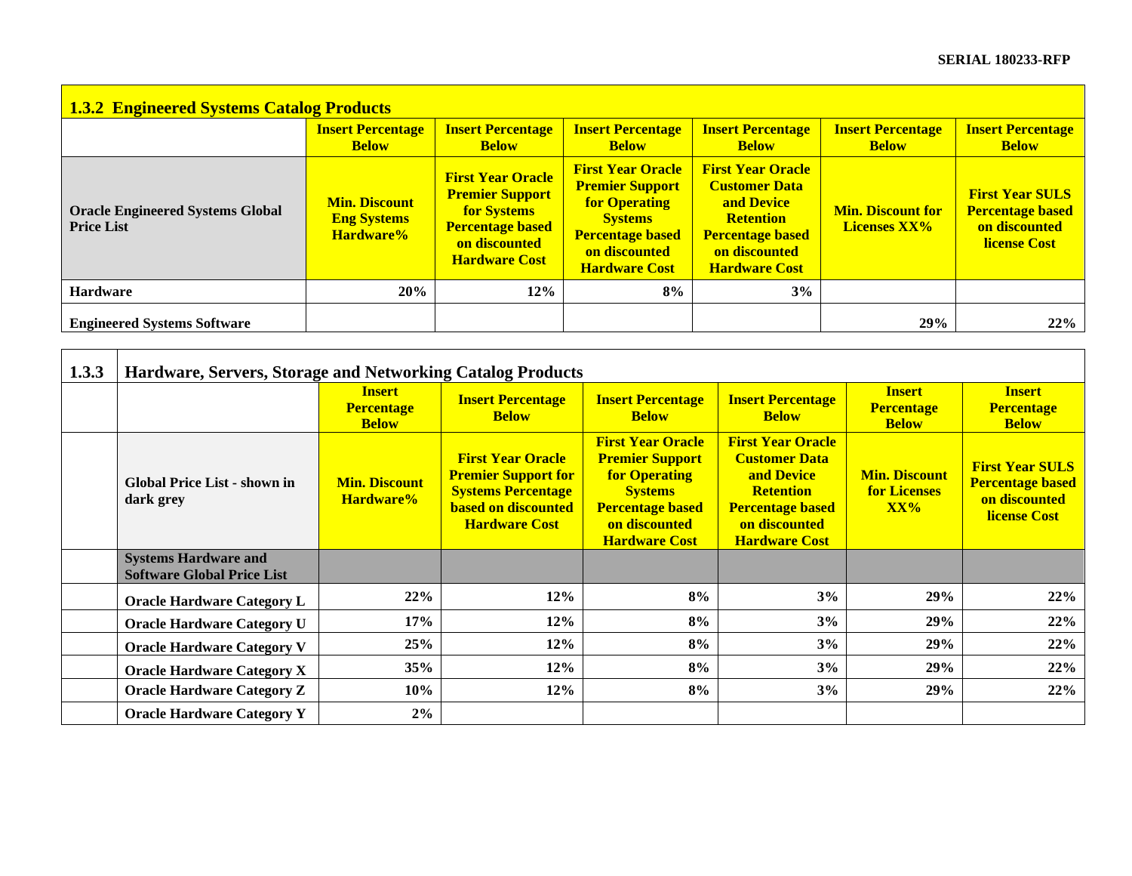| <b>1.3.2 Engineered Systems Catalog Products</b>             |                                                         |                                                                                                                                              |                                                                                                                                                                  |                                                                                                                                                               |                                                 |                                                                                           |
|--------------------------------------------------------------|---------------------------------------------------------|----------------------------------------------------------------------------------------------------------------------------------------------|------------------------------------------------------------------------------------------------------------------------------------------------------------------|---------------------------------------------------------------------------------------------------------------------------------------------------------------|-------------------------------------------------|-------------------------------------------------------------------------------------------|
|                                                              | <b>Insert Percentage</b><br><b>Below</b>                | <b>Insert Percentage</b><br><b>Below</b>                                                                                                     | <b>Insert Percentage</b><br><b>Below</b>                                                                                                                         | <b>Insert Percentage</b><br><b>Below</b>                                                                                                                      | <b>Insert Percentage</b><br><b>Below</b>        | <b>Insert Percentage</b><br><b>Below</b>                                                  |
| <b>Oracle Engineered Systems Global</b><br><b>Price List</b> | <b>Min. Discount</b><br><b>Eng Systems</b><br>Hardware% | <b>First Year Oracle</b><br><b>Premier Support</b><br><b>for Systems</b><br><b>Percentage based</b><br>on discounted<br><b>Hardware Cost</b> | <b>First Year Oracle</b><br><b>Premier Support</b><br><b>for Operating</b><br><b>Systems</b><br><b>Percentage based</b><br>on discounted<br><b>Hardware Cost</b> | <b>First Year Oracle</b><br><b>Customer Data</b><br><b>and Device</b><br><b>Retention</b><br><b>Percentage based</b><br>on discounted<br><b>Hardware Cost</b> | <b>Min. Discount for</b><br><b>Licenses XX%</b> | <b>First Year SULS</b><br><b>Percentage based</b><br>on discounted<br><b>license Cost</b> |
| <b>Hardware</b>                                              | 20%                                                     | $12\%$                                                                                                                                       | 8%                                                                                                                                                               | 3%                                                                                                                                                            |                                                 |                                                                                           |
| <b>Engineered Systems Software</b>                           |                                                         |                                                                                                                                              |                                                                                                                                                                  |                                                                                                                                                               | 29%                                             | 22%                                                                                       |

| 1.3.3 | Hardware, Servers, Storage and Networking Catalog Products       |                                                    |                                                                                                                                           |                                                                                                                                                                  |                                                                                                                                                               |                                                    |                                                                                           |
|-------|------------------------------------------------------------------|----------------------------------------------------|-------------------------------------------------------------------------------------------------------------------------------------------|------------------------------------------------------------------------------------------------------------------------------------------------------------------|---------------------------------------------------------------------------------------------------------------------------------------------------------------|----------------------------------------------------|-------------------------------------------------------------------------------------------|
|       |                                                                  | <b>Insert</b><br><b>Percentage</b><br><b>Below</b> | <b>Insert Percentage</b><br><b>Below</b>                                                                                                  | <b>Insert Percentage</b><br><b>Below</b>                                                                                                                         | <b>Insert Percentage</b><br><b>Below</b>                                                                                                                      | <b>Insert</b><br><b>Percentage</b><br><b>Below</b> | <b>Insert</b><br><b>Percentage</b><br><b>Below</b>                                        |
|       | Global Price List - shown in<br>dark grey                        | <b>Min. Discount</b><br>Hardware%                  | <b>First Year Oracle</b><br><b>Premier Support for</b><br><b>Systems Percentage</b><br><b>based on discounted</b><br><b>Hardware Cost</b> | <b>First Year Oracle</b><br><b>Premier Support</b><br><b>for Operating</b><br><b>Systems</b><br><b>Percentage based</b><br>on discounted<br><b>Hardware Cost</b> | <b>First Year Oracle</b><br><b>Customer Data</b><br><b>and Device</b><br><b>Retention</b><br><b>Percentage based</b><br>on discounted<br><b>Hardware Cost</b> | <b>Min. Discount</b><br><b>for Licenses</b><br>XX% | <b>First Year SULS</b><br><b>Percentage based</b><br>on discounted<br><b>license Cost</b> |
|       | <b>Systems Hardware and</b><br><b>Software Global Price List</b> |                                                    |                                                                                                                                           |                                                                                                                                                                  |                                                                                                                                                               |                                                    |                                                                                           |
|       | <b>Oracle Hardware Category L</b>                                | 22%                                                | 12%                                                                                                                                       | 8%                                                                                                                                                               | 3%                                                                                                                                                            | 29%                                                | 22%                                                                                       |
|       | <b>Oracle Hardware Category U</b>                                | 17%                                                | 12%                                                                                                                                       | 8%                                                                                                                                                               | 3%                                                                                                                                                            | 29%                                                | 22%                                                                                       |
|       | <b>Oracle Hardware Category V</b>                                | 25%                                                | 12%                                                                                                                                       | 8%                                                                                                                                                               | 3%                                                                                                                                                            | 29%                                                | 22%                                                                                       |
|       | <b>Oracle Hardware Category X</b>                                | 35%                                                | 12%                                                                                                                                       | 8%                                                                                                                                                               | 3%                                                                                                                                                            | 29%                                                | 22%                                                                                       |
|       | <b>Oracle Hardware Category Z</b>                                | 10%                                                | 12%                                                                                                                                       | 8%                                                                                                                                                               | 3%                                                                                                                                                            | 29%                                                | 22%                                                                                       |
|       | <b>Oracle Hardware Category Y</b>                                | 2%                                                 |                                                                                                                                           |                                                                                                                                                                  |                                                                                                                                                               |                                                    |                                                                                           |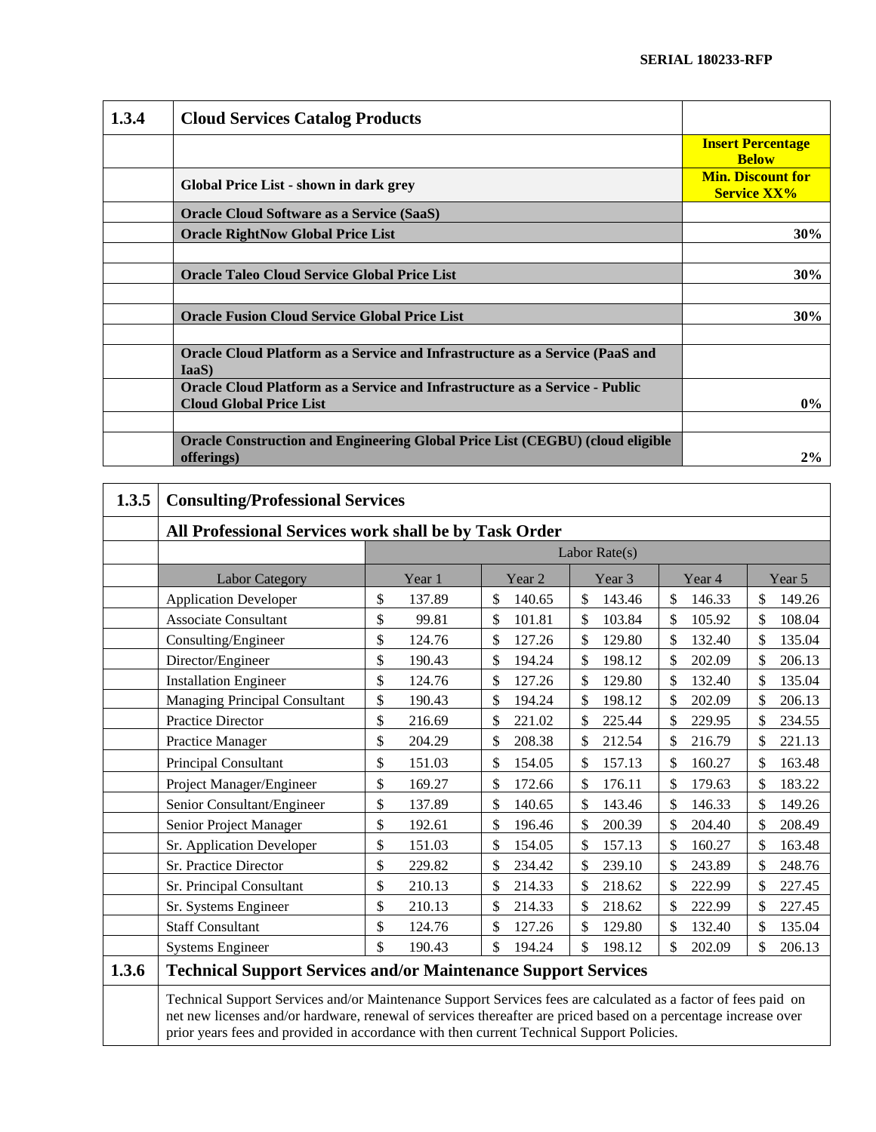| 1.3.4 | <b>Cloud Services Catalog Products</b>                                                                               |                                                |
|-------|----------------------------------------------------------------------------------------------------------------------|------------------------------------------------|
|       |                                                                                                                      | <b>Insert Percentage</b><br><b>Below</b>       |
|       | Global Price List - shown in dark grey                                                                               | <b>Min. Discount for</b><br><b>Service XX%</b> |
|       | <b>Oracle Cloud Software as a Service (SaaS)</b>                                                                     |                                                |
|       | <b>Oracle RightNow Global Price List</b>                                                                             | 30%                                            |
|       |                                                                                                                      |                                                |
|       | <b>Oracle Taleo Cloud Service Global Price List</b>                                                                  | 30%                                            |
|       |                                                                                                                      |                                                |
|       | <b>Oracle Fusion Cloud Service Global Price List</b>                                                                 | 30%                                            |
|       |                                                                                                                      |                                                |
|       | Oracle Cloud Platform as a Service and Infrastructure as a Service (PaaS and<br>IaaS)                                |                                                |
|       | <b>Oracle Cloud Platform as a Service and Infrastructure as a Service - Public</b><br><b>Cloud Global Price List</b> | $0\%$                                          |
|       |                                                                                                                      |                                                |
|       | Oracle Construction and Engineering Global Price List (CEGBU) (cloud eligible<br>offerings)                          | 2%                                             |

| 1.3.5 | <b>Consulting/Professional Services</b>                                                                                                                                                                                                                                                                                        |                                                       |              |                         |              |              |
|-------|--------------------------------------------------------------------------------------------------------------------------------------------------------------------------------------------------------------------------------------------------------------------------------------------------------------------------------|-------------------------------------------------------|--------------|-------------------------|--------------|--------------|
|       |                                                                                                                                                                                                                                                                                                                                | All Professional Services work shall be by Task Order |              |                         |              |              |
|       |                                                                                                                                                                                                                                                                                                                                |                                                       |              | Labor Rate(s)           |              |              |
|       | <b>Labor Category</b>                                                                                                                                                                                                                                                                                                          | Year 1                                                | Year 2       | Year 3                  | Year 4       | Year 5       |
|       | <b>Application Developer</b>                                                                                                                                                                                                                                                                                                   | \$<br>137.89                                          | \$<br>140.65 | \$<br>143.46            | \$<br>146.33 | \$<br>149.26 |
|       | <b>Associate Consultant</b>                                                                                                                                                                                                                                                                                                    | \$<br>99.81                                           | \$<br>101.81 | \$<br>103.84            | \$<br>105.92 | \$<br>108.04 |
|       | Consulting/Engineer                                                                                                                                                                                                                                                                                                            | \$<br>124.76                                          | \$<br>127.26 | $\mathcal{S}$<br>129.80 | 132.40<br>\$ | 135.04<br>\$ |
|       | Director/Engineer                                                                                                                                                                                                                                                                                                              | \$<br>190.43                                          | \$<br>194.24 | \$<br>198.12            | 202.09<br>\$ | \$<br>206.13 |
|       | <b>Installation Engineer</b>                                                                                                                                                                                                                                                                                                   | \$<br>124.76                                          | \$<br>127.26 | \$<br>129.80            | \$<br>132.40 | \$<br>135.04 |
|       | <b>Managing Principal Consultant</b>                                                                                                                                                                                                                                                                                           | \$<br>190.43                                          | \$<br>194.24 | \$<br>198.12            | \$<br>202.09 | \$<br>206.13 |
|       | <b>Practice Director</b>                                                                                                                                                                                                                                                                                                       | \$<br>216.69                                          | \$<br>221.02 | \$<br>225.44            | \$<br>229.95 | \$<br>234.55 |
|       | <b>Practice Manager</b>                                                                                                                                                                                                                                                                                                        | \$<br>204.29                                          | \$<br>208.38 | \$<br>212.54            | \$<br>216.79 | \$<br>221.13 |
|       | <b>Principal Consultant</b>                                                                                                                                                                                                                                                                                                    | \$<br>151.03                                          | \$<br>154.05 | \$<br>157.13            | \$<br>160.27 | \$<br>163.48 |
|       | Project Manager/Engineer                                                                                                                                                                                                                                                                                                       | \$<br>169.27                                          | \$<br>172.66 | \$<br>176.11            | \$<br>179.63 | \$<br>183.22 |
|       | Senior Consultant/Engineer                                                                                                                                                                                                                                                                                                     | \$<br>137.89                                          | \$<br>140.65 | \$<br>143.46            | 146.33<br>\$ | 149.26<br>\$ |
|       | Senior Project Manager                                                                                                                                                                                                                                                                                                         | \$<br>192.61                                          | \$<br>196.46 | \$<br>200.39            | \$<br>204.40 | \$<br>208.49 |
|       | Sr. Application Developer                                                                                                                                                                                                                                                                                                      | \$<br>151.03                                          | \$<br>154.05 | \$<br>157.13            | \$<br>160.27 | \$<br>163.48 |
|       | Sr. Practice Director                                                                                                                                                                                                                                                                                                          | \$<br>229.82                                          | \$<br>234.42 | \$<br>239.10            | \$<br>243.89 | \$<br>248.76 |
|       | Sr. Principal Consultant                                                                                                                                                                                                                                                                                                       | \$<br>210.13                                          | \$<br>214.33 | \$<br>218.62            | \$<br>222.99 | \$<br>227.45 |
|       | Sr. Systems Engineer                                                                                                                                                                                                                                                                                                           | \$<br>210.13                                          | \$<br>214.33 | \$<br>218.62            | \$<br>222.99 | \$<br>227.45 |
|       | <b>Staff Consultant</b>                                                                                                                                                                                                                                                                                                        | \$<br>124.76                                          | \$<br>127.26 | \$<br>129.80            | \$<br>132.40 | \$<br>135.04 |
|       | <b>Systems Engineer</b>                                                                                                                                                                                                                                                                                                        | \$<br>190.43                                          | \$<br>194.24 | $\mathcal{S}$<br>198.12 | \$<br>202.09 | \$<br>206.13 |
| 1.3.6 | <b>Technical Support Services and/or Maintenance Support Services</b>                                                                                                                                                                                                                                                          |                                                       |              |                         |              |              |
|       | Technical Support Services and/or Maintenance Support Services fees are calculated as a factor of fees paid on<br>net new licenses and/or hardware, renewal of services thereafter are priced based on a percentage increase over<br>prior years fees and provided in accordance with then current Technical Support Policies. |                                                       |              |                         |              |              |